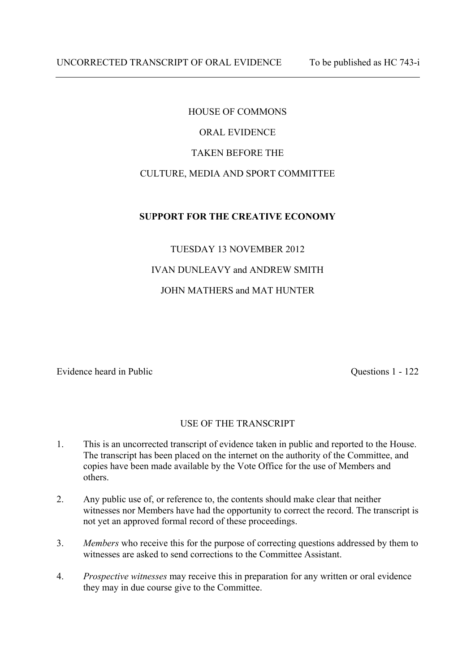# HOUSE OF COMMONS ORAL EVIDENCE TAKEN BEFORE THE CULTURE, MEDIA AND SPORT COMMITTEE

# **SUPPORT FOR THE CREATIVE ECONOMY**

# TUESDAY 13 NOVEMBER 2012 IVAN DUNLEAVY and ANDREW SMITH JOHN MATHERS and MAT HUNTER

Evidence heard in Public Questions 1 - 122

## USE OF THE TRANSCRIPT

- 1. This is an uncorrected transcript of evidence taken in public and reported to the House. The transcript has been placed on the internet on the authority of the Committee, and copies have been made available by the Vote Office for the use of Members and others.
- 2. Any public use of, or reference to, the contents should make clear that neither witnesses nor Members have had the opportunity to correct the record. The transcript is not yet an approved formal record of these proceedings.
- 3. *Members* who receive this for the purpose of correcting questions addressed by them to witnesses are asked to send corrections to the Committee Assistant.
- 4. *Prospective witnesses* may receive this in preparation for any written or oral evidence they may in due course give to the Committee.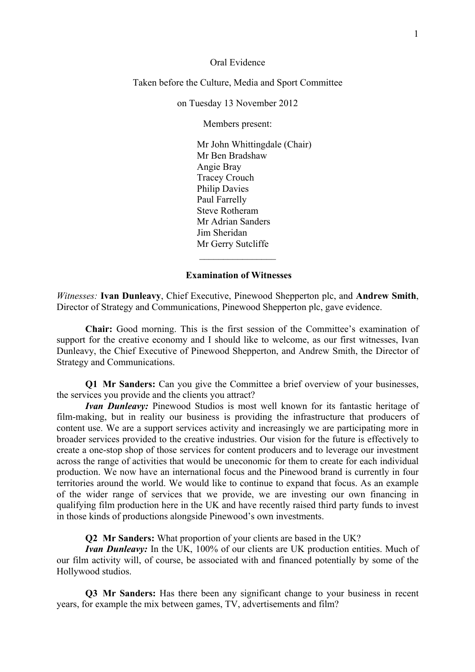Oral Evidence

Taken before the Culture, Media and Sport Committee

on Tuesday 13 November 2012

Members present:

Mr John Whittingdale (Chair) Mr Ben Bradshaw Angie Bray Tracey Crouch Philip Davies Paul Farrelly Steve Rotheram Mr Adrian Sanders Jim Sheridan Mr Gerry Sutcliffe  $\frac{1}{2}$  ,  $\frac{1}{2}$  ,  $\frac{1}{2}$  ,  $\frac{1}{2}$  ,  $\frac{1}{2}$  ,  $\frac{1}{2}$  ,  $\frac{1}{2}$  ,  $\frac{1}{2}$  ,  $\frac{1}{2}$ 

**Examination of Witnesses** 

*Witnesses:* **Ivan Dunleavy**, Chief Executive, Pinewood Shepperton plc, and **Andrew Smith**, Director of Strategy and Communications, Pinewood Shepperton plc, gave evidence.

**Chair:** Good morning. This is the first session of the Committee's examination of support for the creative economy and I should like to welcome, as our first witnesses, Ivan Dunleavy, the Chief Executive of Pinewood Shepperton, and Andrew Smith, the Director of Strategy and Communications.

**Q1 Mr Sanders:** Can you give the Committee a brief overview of your businesses, the services you provide and the clients you attract?

*Ivan Dunleavy:* Pinewood Studios is most well known for its fantastic heritage of film-making, but in reality our business is providing the infrastructure that producers of content use. We are a support services activity and increasingly we are participating more in broader services provided to the creative industries. Our vision for the future is effectively to create a one-stop shop of those services for content producers and to leverage our investment across the range of activities that would be uneconomic for them to create for each individual production. We now have an international focus and the Pinewood brand is currently in four territories around the world. We would like to continue to expand that focus. As an example of the wider range of services that we provide, we are investing our own financing in qualifying film production here in the UK and have recently raised third party funds to invest in those kinds of productions alongside Pinewood's own investments.

**Q2 Mr Sanders:** What proportion of your clients are based in the UK?

*Ivan Dunleavy:* In the UK, 100% of our clients are UK production entities. Much of our film activity will, of course, be associated with and financed potentially by some of the Hollywood studios.

**Q3 Mr Sanders:** Has there been any significant change to your business in recent years, for example the mix between games, TV, advertisements and film?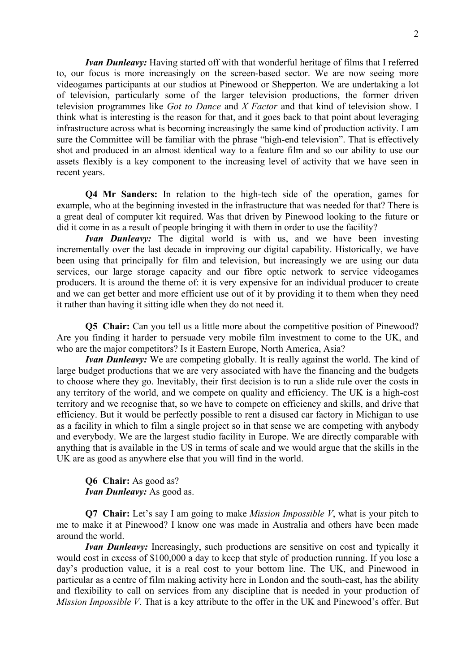*Ivan Dunleavy:* Having started off with that wonderful heritage of films that I referred to, our focus is more increasingly on the screen-based sector. We are now seeing more videogames participants at our studios at Pinewood or Shepperton. We are undertaking a lot of television, particularly some of the larger television productions, the former driven television programmes like *Got to Dance* and *X Factor* and that kind of television show. I think what is interesting is the reason for that, and it goes back to that point about leveraging infrastructure across what is becoming increasingly the same kind of production activity. I am sure the Committee will be familiar with the phrase "high-end television". That is effectively shot and produced in an almost identical way to a feature film and so our ability to use our assets flexibly is a key component to the increasing level of activity that we have seen in recent years.

**Q4 Mr Sanders:** In relation to the high-tech side of the operation, games for example, who at the beginning invested in the infrastructure that was needed for that? There is a great deal of computer kit required. Was that driven by Pinewood looking to the future or did it come in as a result of people bringing it with them in order to use the facility?

*Ivan Dunleavy:* The digital world is with us, and we have been investing incrementally over the last decade in improving our digital capability. Historically, we have been using that principally for film and television, but increasingly we are using our data services, our large storage capacity and our fibre optic network to service videogames producers. It is around the theme of: it is very expensive for an individual producer to create and we can get better and more efficient use out of it by providing it to them when they need it rather than having it sitting idle when they do not need it.

**Q5 Chair:** Can you tell us a little more about the competitive position of Pinewood? Are you finding it harder to persuade very mobile film investment to come to the UK, and who are the major competitors? Is it Eastern Europe, North America, Asia?

*Ivan Dunleavy:* We are competing globally. It is really against the world. The kind of large budget productions that we are very associated with have the financing and the budgets to choose where they go. Inevitably, their first decision is to run a slide rule over the costs in any territory of the world, and we compete on quality and efficiency. The UK is a high-cost territory and we recognise that, so we have to compete on efficiency and skills, and drive that efficiency. But it would be perfectly possible to rent a disused car factory in Michigan to use as a facility in which to film a single project so in that sense we are competing with anybody and everybody. We are the largest studio facility in Europe. We are directly comparable with anything that is available in the US in terms of scale and we would argue that the skills in the UK are as good as anywhere else that you will find in the world.

**Q6 Chair:** As good as? *Ivan Dunleavy:* As good as.

**Q7 Chair:** Let's say I am going to make *Mission Impossible V*, what is your pitch to me to make it at Pinewood? I know one was made in Australia and others have been made around the world.

*Ivan Dunleavy:* Increasingly, such productions are sensitive on cost and typically it would cost in excess of \$100,000 a day to keep that style of production running. If you lose a day's production value, it is a real cost to your bottom line. The UK, and Pinewood in particular as a centre of film making activity here in London and the south-east, has the ability and flexibility to call on services from any discipline that is needed in your production of *Mission Impossible V*. That is a key attribute to the offer in the UK and Pinewood's offer. But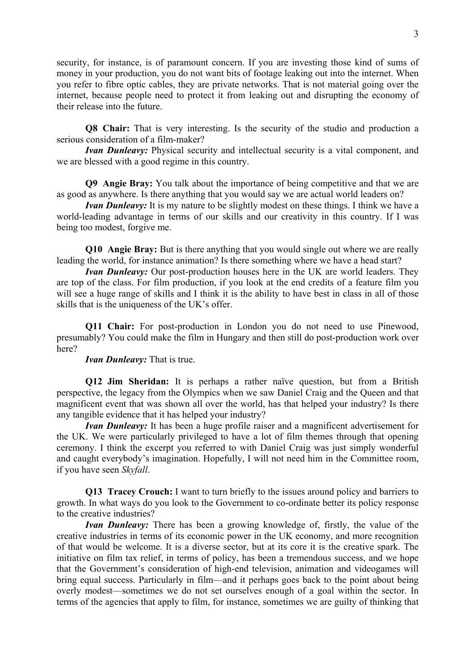security, for instance, is of paramount concern. If you are investing those kind of sums of money in your production, you do not want bits of footage leaking out into the internet. When you refer to fibre optic cables, they are private networks. That is not material going over the internet, because people need to protect it from leaking out and disrupting the economy of their release into the future.

**Q8 Chair:** That is very interesting. Is the security of the studio and production a serious consideration of a film-maker?

*Ivan Dunleavy:* Physical security and intellectual security is a vital component, and we are blessed with a good regime in this country.

**Q9 Angie Bray:** You talk about the importance of being competitive and that we are as good as anywhere. Is there anything that you would say we are actual world leaders on?

*Ivan Dunleavy:* It is my nature to be slightly modest on these things. I think we have a world-leading advantage in terms of our skills and our creativity in this country. If I was being too modest, forgive me.

**Q10 Angie Bray:** But is there anything that you would single out where we are really leading the world, for instance animation? Is there something where we have a head start?

*Ivan Dunleavy:* Our post-production houses here in the UK are world leaders. They are top of the class. For film production, if you look at the end credits of a feature film you will see a huge range of skills and I think it is the ability to have best in class in all of those skills that is the uniqueness of the UK's offer.

**Q11 Chair:** For post-production in London you do not need to use Pinewood, presumably? You could make the film in Hungary and then still do post-production work over here?

*Ivan Dunleavy:* That is true.

**Q12 Jim Sheridan:** It is perhaps a rather naïve question, but from a British perspective, the legacy from the Olympics when we saw Daniel Craig and the Queen and that magnificent event that was shown all over the world, has that helped your industry? Is there any tangible evidence that it has helped your industry?

*Ivan Dunleavy:* It has been a huge profile raiser and a magnificent advertisement for the UK. We were particularly privileged to have a lot of film themes through that opening ceremony. I think the excerpt you referred to with Daniel Craig was just simply wonderful and caught everybody's imagination. Hopefully, I will not need him in the Committee room, if you have seen *Skyfall*.

**Q13 Tracey Crouch:** I want to turn briefly to the issues around policy and barriers to growth. In what ways do you look to the Government to co-ordinate better its policy response to the creative industries?

*Ivan Dunleavy:* There has been a growing knowledge of, firstly, the value of the creative industries in terms of its economic power in the UK economy, and more recognition of that would be welcome. It is a diverse sector, but at its core it is the creative spark. The initiative on film tax relief, in terms of policy, has been a tremendous success, and we hope that the Government's consideration of high-end television, animation and videogames will bring equal success. Particularly in film—and it perhaps goes back to the point about being overly modest—sometimes we do not set ourselves enough of a goal within the sector. In terms of the agencies that apply to film, for instance, sometimes we are guilty of thinking that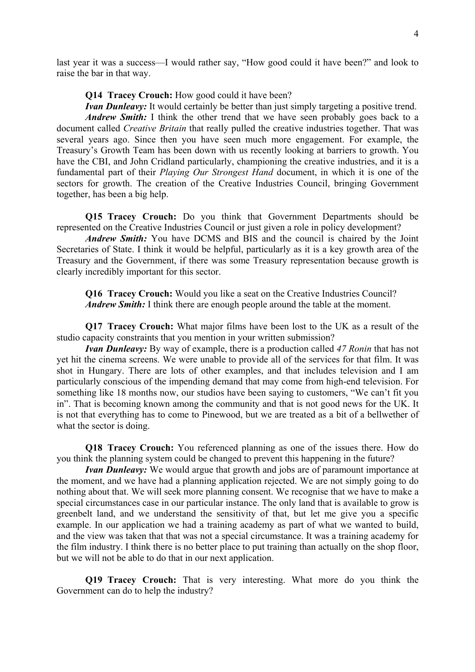last year it was a success—I would rather say, "How good could it have been?" and look to raise the bar in that way.

**Q14 Tracey Crouch:** How good could it have been?

*Ivan Dunleavy:* It would certainly be better than just simply targeting a positive trend. *Andrew Smith:* I think the other trend that we have seen probably goes back to a document called *Creative Britain* that really pulled the creative industries together. That was several years ago. Since then you have seen much more engagement. For example, the Treasury's Growth Team has been down with us recently looking at barriers to growth. You have the CBI, and John Cridland particularly, championing the creative industries, and it is a fundamental part of their *Playing Our Strongest Hand* document, in which it is one of the sectors for growth. The creation of the Creative Industries Council, bringing Government together, has been a big help.

**Q15 Tracey Crouch:** Do you think that Government Departments should be represented on the Creative Industries Council or just given a role in policy development?

*Andrew Smith:* You have DCMS and BIS and the council is chaired by the Joint Secretaries of State. I think it would be helpful, particularly as it is a key growth area of the Treasury and the Government, if there was some Treasury representation because growth is clearly incredibly important for this sector.

**Q16 Tracey Crouch:** Would you like a seat on the Creative Industries Council? *Andrew Smith:* I think there are enough people around the table at the moment.

**Q17 Tracey Crouch:** What major films have been lost to the UK as a result of the studio capacity constraints that you mention in your written submission?

*Ivan Dunleavy:* By way of example, there is a production called *47 Ronin* that has not yet hit the cinema screens. We were unable to provide all of the services for that film. It was shot in Hungary. There are lots of other examples, and that includes television and I am particularly conscious of the impending demand that may come from high-end television. For something like 18 months now, our studios have been saying to customers, "We can't fit you in". That is becoming known among the community and that is not good news for the UK. It is not that everything has to come to Pinewood, but we are treated as a bit of a bellwether of what the sector is doing.

**Q18 Tracey Crouch:** You referenced planning as one of the issues there. How do you think the planning system could be changed to prevent this happening in the future?

*Ivan Dunleavy:* We would argue that growth and jobs are of paramount importance at the moment, and we have had a planning application rejected. We are not simply going to do nothing about that. We will seek more planning consent. We recognise that we have to make a special circumstances case in our particular instance. The only land that is available to grow is greenbelt land, and we understand the sensitivity of that, but let me give you a specific example. In our application we had a training academy as part of what we wanted to build, and the view was taken that that was not a special circumstance. It was a training academy for the film industry. I think there is no better place to put training than actually on the shop floor, but we will not be able to do that in our next application.

**Q19 Tracey Crouch:** That is very interesting. What more do you think the Government can do to help the industry?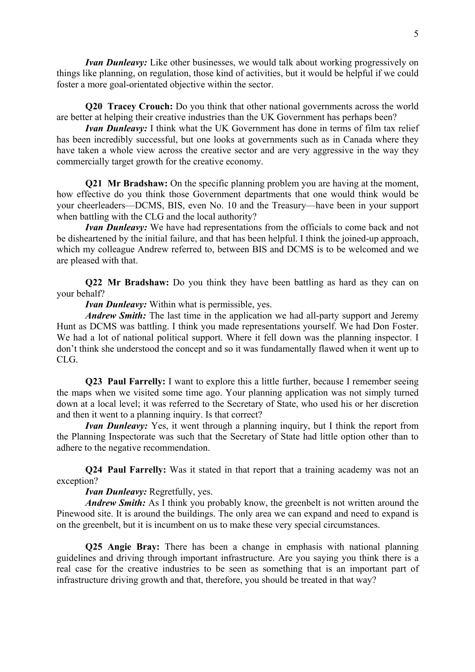*Ivan Dunleavy:* Like other businesses, we would talk about working progressively on things like planning, on regulation, those kind of activities, but it would be helpful if we could foster a more goal-orientated objective within the sector.

**Q20 Tracey Crouch:** Do you think that other national governments across the world are better at helping their creative industries than the UK Government has perhaps been?

*Ivan Dunleavy:* I think what the UK Government has done in terms of film tax relief has been incredibly successful, but one looks at governments such as in Canada where they have taken a whole view across the creative sector and are very aggressive in the way they commercially target growth for the creative economy.

**Q21 Mr Bradshaw:** On the specific planning problem you are having at the moment, how effective do you think those Government departments that one would think would be your cheerleaders—DCMS, BIS, even No. 10 and the Treasury—have been in your support when battling with the CLG and the local authority?

*Ivan Dunleavy:* We have had representations from the officials to come back and not be disheartened by the initial failure, and that has been helpful. I think the joined-up approach, which my colleague Andrew referred to, between BIS and DCMS is to be welcomed and we are pleased with that.

**Q22 Mr Bradshaw:** Do you think they have been battling as hard as they can on your behalf?

*Ivan Dunleavy:* Within what is permissible, yes.

*Andrew Smith:* The last time in the application we had all-party support and Jeremy Hunt as DCMS was battling. I think you made representations yourself. We had Don Foster. We had a lot of national political support. Where it fell down was the planning inspector. I don't think she understood the concept and so it was fundamentally flawed when it went up to CLG.

**Q23 Paul Farrelly:** I want to explore this a little further, because I remember seeing the maps when we visited some time ago. Your planning application was not simply turned down at a local level; it was referred to the Secretary of State, who used his or her discretion and then it went to a planning inquiry. Is that correct?

*Ivan Dunleavy:* Yes, it went through a planning inquiry, but I think the report from the Planning Inspectorate was such that the Secretary of State had little option other than to adhere to the negative recommendation.

**Q24 Paul Farrelly:** Was it stated in that report that a training academy was not an exception?

#### *Ivan Dunleavy:* Regretfully, yes.

*Andrew Smith:* As I think you probably know, the greenbelt is not written around the Pinewood site. It is around the buildings. The only area we can expand and need to expand is on the greenbelt, but it is incumbent on us to make these very special circumstances.

**Q25 Angie Bray:** There has been a change in emphasis with national planning guidelines and driving through important infrastructure. Are you saying you think there is a real case for the creative industries to be seen as something that is an important part of infrastructure driving growth and that, therefore, you should be treated in that way?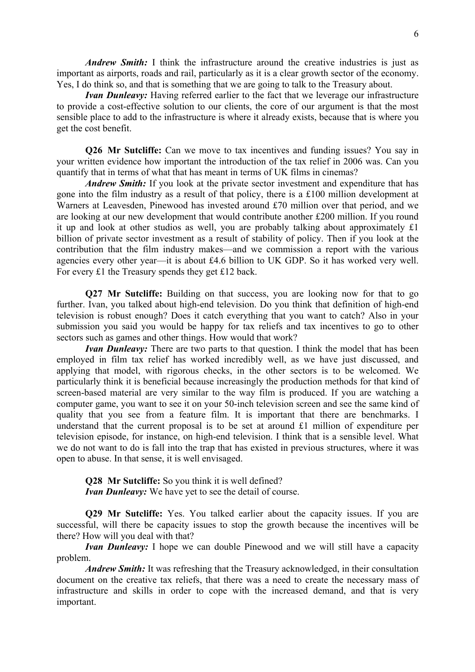*Andrew Smith:* I think the infrastructure around the creative industries is just as important as airports, roads and rail, particularly as it is a clear growth sector of the economy. Yes, I do think so, and that is something that we are going to talk to the Treasury about.

*Ivan Dunleavy:* Having referred earlier to the fact that we leverage our infrastructure to provide a cost-effective solution to our clients, the core of our argument is that the most sensible place to add to the infrastructure is where it already exists, because that is where you get the cost benefit.

**Q26 Mr Sutcliffe:** Can we move to tax incentives and funding issues? You say in your written evidence how important the introduction of the tax relief in 2006 was. Can you quantify that in terms of what that has meant in terms of UK films in cinemas?

*Andrew Smith:* If you look at the private sector investment and expenditure that has gone into the film industry as a result of that policy, there is a £100 million development at Warners at Leavesden, Pinewood has invested around £70 million over that period, and we are looking at our new development that would contribute another £200 million. If you round it up and look at other studios as well, you are probably talking about approximately £1 billion of private sector investment as a result of stability of policy. Then if you look at the contribution that the film industry makes—and we commission a report with the various agencies every other year—it is about £4.6 billion to UK GDP. So it has worked very well. For every £1 the Treasury spends they get £12 back.

**Q27 Mr Sutcliffe:** Building on that success, you are looking now for that to go further. Ivan, you talked about high-end television. Do you think that definition of high-end television is robust enough? Does it catch everything that you want to catch? Also in your submission you said you would be happy for tax reliefs and tax incentives to go to other sectors such as games and other things. How would that work?

*Ivan Dunleavy:* There are two parts to that question. I think the model that has been employed in film tax relief has worked incredibly well, as we have just discussed, and applying that model, with rigorous checks, in the other sectors is to be welcomed. We particularly think it is beneficial because increasingly the production methods for that kind of screen-based material are very similar to the way film is produced. If you are watching a computer game, you want to see it on your 50-inch television screen and see the same kind of quality that you see from a feature film. It is important that there are benchmarks. I understand that the current proposal is to be set at around £1 million of expenditure per television episode, for instance, on high-end television. I think that is a sensible level. What we do not want to do is fall into the trap that has existed in previous structures, where it was open to abuse. In that sense, it is well envisaged.

**Q28** Mr Sutcliffe: So you think it is well defined? *Ivan Dunleavy:* We have yet to see the detail of course.

**Q29 Mr Sutcliffe:** Yes. You talked earlier about the capacity issues. If you are successful, will there be capacity issues to stop the growth because the incentives will be there? How will you deal with that?

*Ivan Dunleavy:* I hope we can double Pinewood and we will still have a capacity problem.

*Andrew Smith:* It was refreshing that the Treasury acknowledged, in their consultation document on the creative tax reliefs, that there was a need to create the necessary mass of infrastructure and skills in order to cope with the increased demand, and that is very important.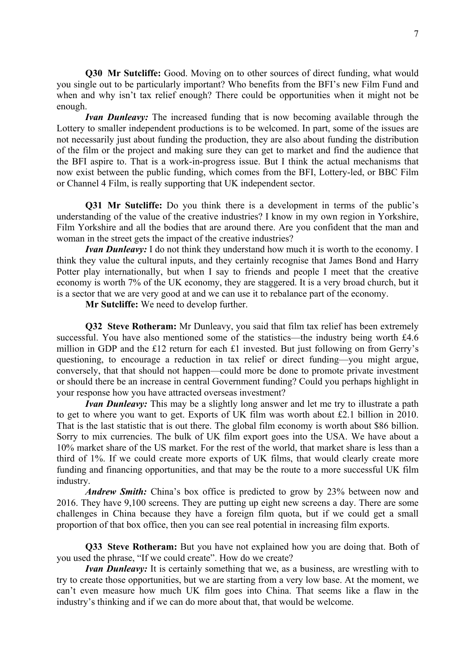**Q30 Mr Sutcliffe:** Good. Moving on to other sources of direct funding, what would you single out to be particularly important? Who benefits from the BFI's new Film Fund and when and why isn't tax relief enough? There could be opportunities when it might not be enough.

*Ivan Dunleavy:* The increased funding that is now becoming available through the Lottery to smaller independent productions is to be welcomed. In part, some of the issues are not necessarily just about funding the production, they are also about funding the distribution of the film or the project and making sure they can get to market and find the audience that the BFI aspire to. That is a work-in-progress issue. But I think the actual mechanisms that now exist between the public funding, which comes from the BFI, Lottery-led, or BBC Film or Channel 4 Film, is really supporting that UK independent sector.

**Q31 Mr Sutcliffe:** Do you think there is a development in terms of the public's understanding of the value of the creative industries? I know in my own region in Yorkshire, Film Yorkshire and all the bodies that are around there. Are you confident that the man and woman in the street gets the impact of the creative industries?

*Ivan Dunleavy:* I do not think they understand how much it is worth to the economy. I think they value the cultural inputs, and they certainly recognise that James Bond and Harry Potter play internationally, but when I say to friends and people I meet that the creative economy is worth 7% of the UK economy, they are staggered. It is a very broad church, but it is a sector that we are very good at and we can use it to rebalance part of the economy.

**Mr Sutcliffe:** We need to develop further.

**Q32 Steve Rotheram:** Mr Dunleavy, you said that film tax relief has been extremely successful. You have also mentioned some of the statistics—the industry being worth £4.6 million in GDP and the £12 return for each £1 invested. But just following on from Gerry's questioning, to encourage a reduction in tax relief or direct funding—you might argue, conversely, that that should not happen—could more be done to promote private investment or should there be an increase in central Government funding? Could you perhaps highlight in your response how you have attracted overseas investment?

*Ivan Dunleavy:* This may be a slightly long answer and let me try to illustrate a path to get to where you want to get. Exports of UK film was worth about £2.1 billion in 2010. That is the last statistic that is out there. The global film economy is worth about \$86 billion. Sorry to mix currencies. The bulk of UK film export goes into the USA. We have about a 10% market share of the US market. For the rest of the world, that market share is less than a third of 1%. If we could create more exports of UK films, that would clearly create more funding and financing opportunities, and that may be the route to a more successful UK film industry.

*Andrew Smith:* China's box office is predicted to grow by 23% between now and 2016. They have 9,100 screens. They are putting up eight new screens a day. There are some challenges in China because they have a foreign film quota, but if we could get a small proportion of that box office, then you can see real potential in increasing film exports.

**Q33 Steve Rotheram:** But you have not explained how you are doing that. Both of you used the phrase, "If we could create". How do we create?

*Ivan Dunleavy:* It is certainly something that we, as a business, are wrestling with to try to create those opportunities, but we are starting from a very low base. At the moment, we can't even measure how much UK film goes into China. That seems like a flaw in the industry's thinking and if we can do more about that, that would be welcome.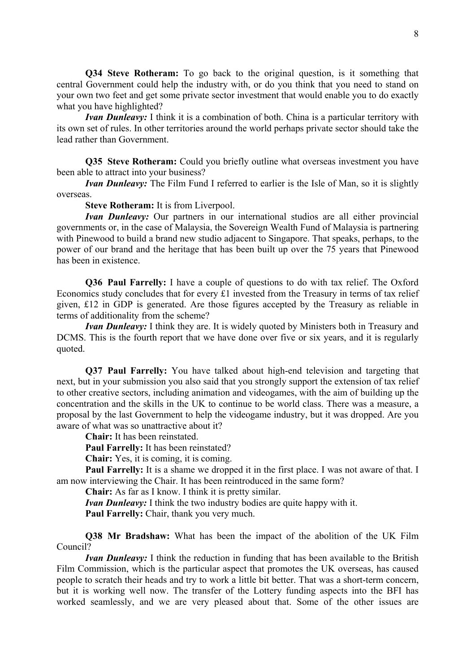**Q34 Steve Rotheram:** To go back to the original question, is it something that central Government could help the industry with, or do you think that you need to stand on your own two feet and get some private sector investment that would enable you to do exactly what you have highlighted?

*Ivan Dunleavy:* I think it is a combination of both. China is a particular territory with its own set of rules. In other territories around the world perhaps private sector should take the lead rather than Government.

**Q35 Steve Rotheram:** Could you briefly outline what overseas investment you have been able to attract into your business?

*Ivan Dunleavy:* The Film Fund I referred to earlier is the Isle of Man, so it is slightly overseas.

**Steve Rotheram:** It is from Liverpool.

*Ivan Dunleavy:* Our partners in our international studios are all either provincial governments or, in the case of Malaysia, the Sovereign Wealth Fund of Malaysia is partnering with Pinewood to build a brand new studio adjacent to Singapore. That speaks, perhaps, to the power of our brand and the heritage that has been built up over the 75 years that Pinewood has been in existence.

**Q36 Paul Farrelly:** I have a couple of questions to do with tax relief. The Oxford Economics study concludes that for every £1 invested from the Treasury in terms of tax relief given, £12 in GDP is generated. Are those figures accepted by the Treasury as reliable in terms of additionality from the scheme?

*Ivan Dunleavy:* I think they are. It is widely quoted by Ministers both in Treasury and DCMS. This is the fourth report that we have done over five or six years, and it is regularly quoted.

**Q37 Paul Farrelly:** You have talked about high-end television and targeting that next, but in your submission you also said that you strongly support the extension of tax relief to other creative sectors, including animation and videogames, with the aim of building up the concentration and the skills in the UK to continue to be world class. There was a measure, a proposal by the last Government to help the videogame industry, but it was dropped. Are you aware of what was so unattractive about it?

**Chair:** It has been reinstated.

**Paul Farrelly:** It has been reinstated?

**Chair:** Yes, it is coming, it is coming.

**Paul Farrelly:** It is a shame we dropped it in the first place. I was not aware of that. I am now interviewing the Chair. It has been reintroduced in the same form?

**Chair:** As far as I know. I think it is pretty similar.

*Ivan Dunleavy:* I think the two industry bodies are quite happy with it.

**Paul Farrelly:** Chair, thank you very much.

**Q38 Mr Bradshaw:** What has been the impact of the abolition of the UK Film Council?

*Ivan Dunleavy:* I think the reduction in funding that has been available to the British Film Commission, which is the particular aspect that promotes the UK overseas, has caused people to scratch their heads and try to work a little bit better. That was a short-term concern, but it is working well now. The transfer of the Lottery funding aspects into the BFI has worked seamlessly, and we are very pleased about that. Some of the other issues are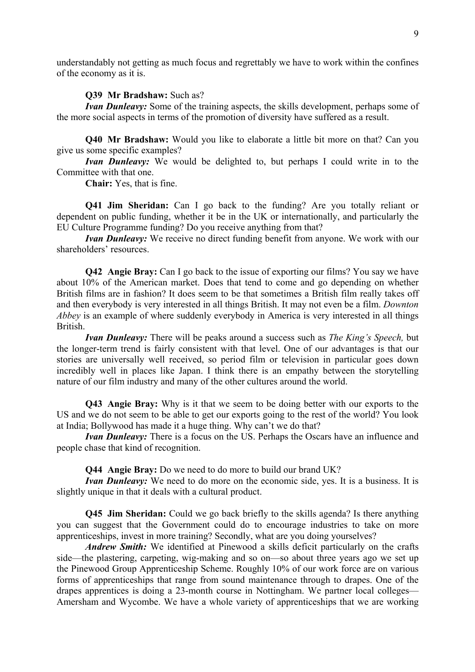understandably not getting as much focus and regrettably we have to work within the confines of the economy as it is.

#### **Q39 Mr Bradshaw:** Such as?

*Ivan Dunleavy:* Some of the training aspects, the skills development, perhaps some of the more social aspects in terms of the promotion of diversity have suffered as a result.

**Q40 Mr Bradshaw:** Would you like to elaborate a little bit more on that? Can you give us some specific examples?

*Ivan Dunleavy:* We would be delighted to, but perhaps I could write in to the Committee with that one.

**Chair:** Yes, that is fine.

**Q41 Jim Sheridan:** Can I go back to the funding? Are you totally reliant or dependent on public funding, whether it be in the UK or internationally, and particularly the EU Culture Programme funding? Do you receive anything from that?

*Ivan Dunleavy:* We receive no direct funding benefit from anyone. We work with our shareholders' resources.

**Q42 Angie Bray:** Can I go back to the issue of exporting our films? You say we have about 10% of the American market. Does that tend to come and go depending on whether British films are in fashion? It does seem to be that sometimes a British film really takes off and then everybody is very interested in all things British. It may not even be a film. *Downton Abbey* is an example of where suddenly everybody in America is very interested in all things British.

*Ivan Dunleavy:* There will be peaks around a success such as *The King's Speech,* but the longer-term trend is fairly consistent with that level. One of our advantages is that our stories are universally well received, so period film or television in particular goes down incredibly well in places like Japan. I think there is an empathy between the storytelling nature of our film industry and many of the other cultures around the world.

**Q43 Angie Bray:** Why is it that we seem to be doing better with our exports to the US and we do not seem to be able to get our exports going to the rest of the world? You look at India; Bollywood has made it a huge thing. Why can't we do that?

*Ivan Dunleavy:* There is a focus on the US. Perhaps the Oscars have an influence and people chase that kind of recognition.

**Q44 Angie Bray:** Do we need to do more to build our brand UK?

*Ivan Dunleavy:* We need to do more on the economic side, yes. It is a business. It is slightly unique in that it deals with a cultural product.

**Q45 Jim Sheridan:** Could we go back briefly to the skills agenda? Is there anything you can suggest that the Government could do to encourage industries to take on more apprenticeships, invest in more training? Secondly, what are you doing yourselves?

*Andrew Smith:* We identified at Pinewood a skills deficit particularly on the crafts side—the plastering, carpeting, wig-making and so on—so about three years ago we set up the Pinewood Group Apprenticeship Scheme. Roughly 10% of our work force are on various forms of apprenticeships that range from sound maintenance through to drapes. One of the drapes apprentices is doing a 23-month course in Nottingham. We partner local colleges— Amersham and Wycombe. We have a whole variety of apprenticeships that we are working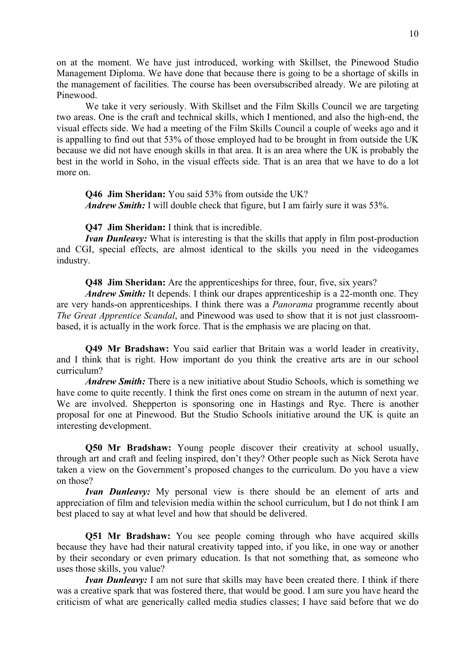on at the moment. We have just introduced, working with Skillset, the Pinewood Studio Management Diploma. We have done that because there is going to be a shortage of skills in the management of facilities. The course has been oversubscribed already. We are piloting at Pinewood.

We take it very seriously. With Skillset and the Film Skills Council we are targeting two areas. One is the craft and technical skills, which I mentioned, and also the high-end, the visual effects side. We had a meeting of the Film Skills Council a couple of weeks ago and it is appalling to find out that 53% of those employed had to be brought in from outside the UK because we did not have enough skills in that area. It is an area where the UK is probably the best in the world in Soho, in the visual effects side. That is an area that we have to do a lot more on.

**Q46 Jim Sheridan:** You said 53% from outside the UK? *Andrew Smith:* I will double check that figure, but I am fairly sure it was 53%.

**Q47 Jim Sheridan:** I think that is incredible.

*Ivan Dunleavy:* What is interesting is that the skills that apply in film post-production and CGI, special effects, are almost identical to the skills you need in the videogames industry.

**Q48 Jim Sheridan:** Are the apprenticeships for three, four, five, six years?

*Andrew Smith:* It depends. I think our drapes apprenticeship is a 22-month one. They are very hands-on apprenticeships. I think there was a *Panorama* programme recently about *The Great Apprentice Scandal*, and Pinewood was used to show that it is not just classroombased, it is actually in the work force. That is the emphasis we are placing on that.

**Q49 Mr Bradshaw:** You said earlier that Britain was a world leader in creativity, and I think that is right. How important do you think the creative arts are in our school curriculum?

*Andrew Smith:* There is a new initiative about Studio Schools, which is something we have come to quite recently. I think the first ones come on stream in the autumn of next year. We are involved. Shepperton is sponsoring one in Hastings and Rye. There is another proposal for one at Pinewood. But the Studio Schools initiative around the UK is quite an interesting development.

**Q50 Mr Bradshaw:** Young people discover their creativity at school usually, through art and craft and feeling inspired, don't they? Other people such as Nick Serota have taken a view on the Government's proposed changes to the curriculum. Do you have a view on those?

*Ivan Dunleavy:* My personal view is there should be an element of arts and appreciation of film and television media within the school curriculum, but I do not think I am best placed to say at what level and how that should be delivered.

**Q51 Mr Bradshaw:** You see people coming through who have acquired skills because they have had their natural creativity tapped into, if you like, in one way or another by their secondary or even primary education. Is that not something that, as someone who uses those skills, you value?

*Ivan Dunleavy:* I am not sure that skills may have been created there. I think if there was a creative spark that was fostered there, that would be good. I am sure you have heard the criticism of what are generically called media studies classes; I have said before that we do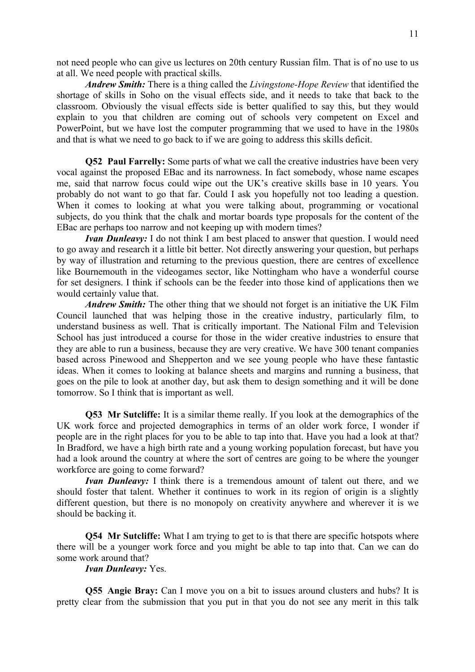not need people who can give us lectures on 20th century Russian film. That is of no use to us at all. We need people with practical skills.

*Andrew Smith:* There is a thing called the *Livingstone-Hope Review* that identified the shortage of skills in Soho on the visual effects side, and it needs to take that back to the classroom. Obviously the visual effects side is better qualified to say this, but they would explain to you that children are coming out of schools very competent on Excel and PowerPoint, but we have lost the computer programming that we used to have in the 1980s and that is what we need to go back to if we are going to address this skills deficit.

**Q52 Paul Farrelly:** Some parts of what we call the creative industries have been very vocal against the proposed EBac and its narrowness. In fact somebody, whose name escapes me, said that narrow focus could wipe out the UK's creative skills base in 10 years. You probably do not want to go that far. Could I ask you hopefully not too leading a question. When it comes to looking at what you were talking about, programming or vocational subjects, do you think that the chalk and mortar boards type proposals for the content of the EBac are perhaps too narrow and not keeping up with modern times?

*Ivan Dunleavy:* I do not think I am best placed to answer that question. I would need to go away and research it a little bit better. Not directly answering your question, but perhaps by way of illustration and returning to the previous question, there are centres of excellence like Bournemouth in the videogames sector, like Nottingham who have a wonderful course for set designers. I think if schools can be the feeder into those kind of applications then we would certainly value that.

*Andrew Smith:* The other thing that we should not forget is an initiative the UK Film Council launched that was helping those in the creative industry, particularly film, to understand business as well. That is critically important. The National Film and Television School has just introduced a course for those in the wider creative industries to ensure that they are able to run a business, because they are very creative. We have 300 tenant companies based across Pinewood and Shepperton and we see young people who have these fantastic ideas. When it comes to looking at balance sheets and margins and running a business, that goes on the pile to look at another day, but ask them to design something and it will be done tomorrow. So I think that is important as well.

**Q53 Mr Sutcliffe:** It is a similar theme really. If you look at the demographics of the UK work force and projected demographics in terms of an older work force, I wonder if people are in the right places for you to be able to tap into that. Have you had a look at that? In Bradford, we have a high birth rate and a young working population forecast, but have you had a look around the country at where the sort of centres are going to be where the younger workforce are going to come forward?

*Ivan Dunleavy:* I think there is a tremendous amount of talent out there, and we should foster that talent. Whether it continues to work in its region of origin is a slightly different question, but there is no monopoly on creativity anywhere and wherever it is we should be backing it.

**Q54 Mr Sutcliffe:** What I am trying to get to is that there are specific hotspots where there will be a younger work force and you might be able to tap into that. Can we can do some work around that?

*Ivan Dunleavy:* Yes.

**Q55 Angie Bray:** Can I move you on a bit to issues around clusters and hubs? It is pretty clear from the submission that you put in that you do not see any merit in this talk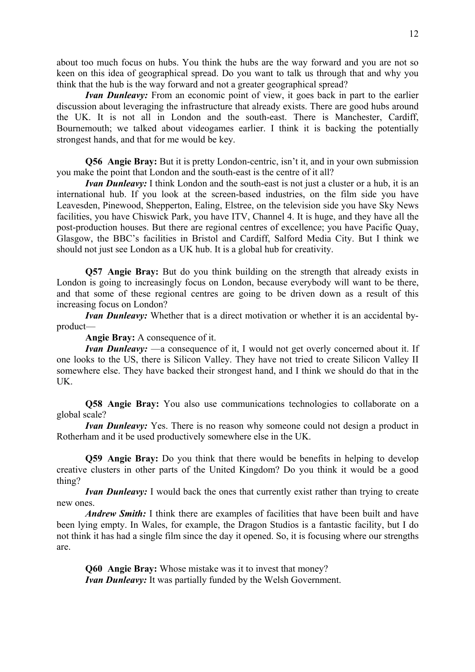about too much focus on hubs. You think the hubs are the way forward and you are not so keen on this idea of geographical spread. Do you want to talk us through that and why you think that the hub is the way forward and not a greater geographical spread?

*Ivan Dunleavy:* From an economic point of view, it goes back in part to the earlier discussion about leveraging the infrastructure that already exists. There are good hubs around the UK. It is not all in London and the south-east. There is Manchester, Cardiff, Bournemouth; we talked about videogames earlier. I think it is backing the potentially strongest hands, and that for me would be key.

**Q56 Angie Bray:** But it is pretty London-centric, isn't it, and in your own submission you make the point that London and the south-east is the centre of it all?

*Ivan Dunleavy:* I think London and the south-east is not just a cluster or a hub, it is an international hub. If you look at the screen-based industries, on the film side you have Leavesden, Pinewood, Shepperton, Ealing, Elstree, on the television side you have Sky News facilities, you have Chiswick Park, you have ITV, Channel 4. It is huge, and they have all the post-production houses. But there are regional centres of excellence; you have Pacific Quay, Glasgow, the BBC's facilities in Bristol and Cardiff, Salford Media City. But I think we should not just see London as a UK hub. It is a global hub for creativity.

**Q57 Angie Bray:** But do you think building on the strength that already exists in London is going to increasingly focus on London, because everybody will want to be there, and that some of these regional centres are going to be driven down as a result of this increasing focus on London?

*Ivan Dunleavy:* Whether that is a direct motivation or whether it is an accidental byproduct—

**Angie Bray:** A consequence of it.

*Ivan Dunleavy:* —a consequence of it, I would not get overly concerned about it. If one looks to the US, there is Silicon Valley. They have not tried to create Silicon Valley II somewhere else. They have backed their strongest hand, and I think we should do that in the UK.

**Q58 Angie Bray:** You also use communications technologies to collaborate on a global scale?

*Ivan Dunleavy:* Yes. There is no reason why someone could not design a product in Rotherham and it be used productively somewhere else in the UK.

**Q59 Angie Bray:** Do you think that there would be benefits in helping to develop creative clusters in other parts of the United Kingdom? Do you think it would be a good thing?

*Ivan Dunleavy:* I would back the ones that currently exist rather than trying to create new ones.

*Andrew Smith:* I think there are examples of facilities that have been built and have been lying empty. In Wales, for example, the Dragon Studios is a fantastic facility, but I do not think it has had a single film since the day it opened. So, it is focusing where our strengths are.

**Q60 Angie Bray:** Whose mistake was it to invest that money? *Ivan Dunleavy:* It was partially funded by the Welsh Government.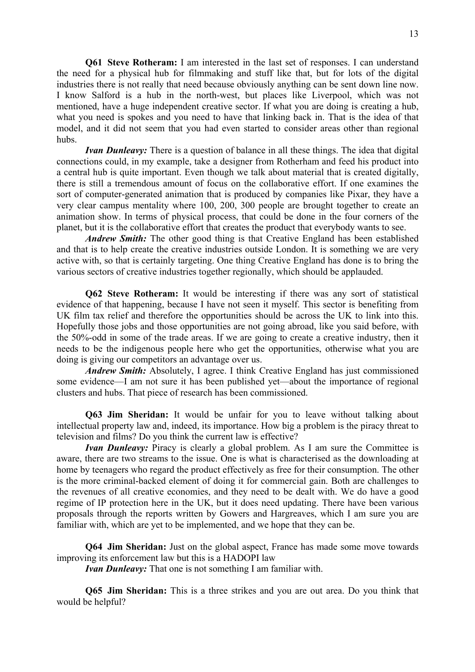**Q61 Steve Rotheram:** I am interested in the last set of responses. I can understand the need for a physical hub for filmmaking and stuff like that, but for lots of the digital industries there is not really that need because obviously anything can be sent down line now. I know Salford is a hub in the north-west, but places like Liverpool, which was not mentioned, have a huge independent creative sector. If what you are doing is creating a hub, what you need is spokes and you need to have that linking back in. That is the idea of that model, and it did not seem that you had even started to consider areas other than regional hubs.

*Ivan Dunleavy:* There is a question of balance in all these things. The idea that digital connections could, in my example, take a designer from Rotherham and feed his product into a central hub is quite important. Even though we talk about material that is created digitally, there is still a tremendous amount of focus on the collaborative effort. If one examines the sort of computer-generated animation that is produced by companies like Pixar, they have a very clear campus mentality where 100, 200, 300 people are brought together to create an animation show. In terms of physical process, that could be done in the four corners of the planet, but it is the collaborative effort that creates the product that everybody wants to see.

*Andrew Smith:* The other good thing is that Creative England has been established and that is to help create the creative industries outside London. It is something we are very active with, so that is certainly targeting. One thing Creative England has done is to bring the various sectors of creative industries together regionally, which should be applauded.

**Q62 Steve Rotheram:** It would be interesting if there was any sort of statistical evidence of that happening, because I have not seen it myself. This sector is benefiting from UK film tax relief and therefore the opportunities should be across the UK to link into this. Hopefully those jobs and those opportunities are not going abroad, like you said before, with the 50%-odd in some of the trade areas. If we are going to create a creative industry, then it needs to be the indigenous people here who get the opportunities, otherwise what you are doing is giving our competitors an advantage over us.

*Andrew Smith:* Absolutely, I agree. I think Creative England has just commissioned some evidence—I am not sure it has been published yet—about the importance of regional clusters and hubs. That piece of research has been commissioned.

**Q63 Jim Sheridan:** It would be unfair for you to leave without talking about intellectual property law and, indeed, its importance. How big a problem is the piracy threat to television and films? Do you think the current law is effective?

*Ivan Dunleavy:* Piracy is clearly a global problem. As I am sure the Committee is aware, there are two streams to the issue. One is what is characterised as the downloading at home by teenagers who regard the product effectively as free for their consumption. The other is the more criminal-backed element of doing it for commercial gain. Both are challenges to the revenues of all creative economies, and they need to be dealt with. We do have a good regime of IP protection here in the UK, but it does need updating. There have been various proposals through the reports written by Gowers and Hargreaves, which I am sure you are familiar with, which are yet to be implemented, and we hope that they can be.

**Q64 Jim Sheridan:** Just on the global aspect, France has made some move towards improving its enforcement law but this is a HADOPI law

*Ivan Dunleavy:* That one is not something I am familiar with.

**Q65 Jim Sheridan:** This is a three strikes and you are out area. Do you think that would be helpful?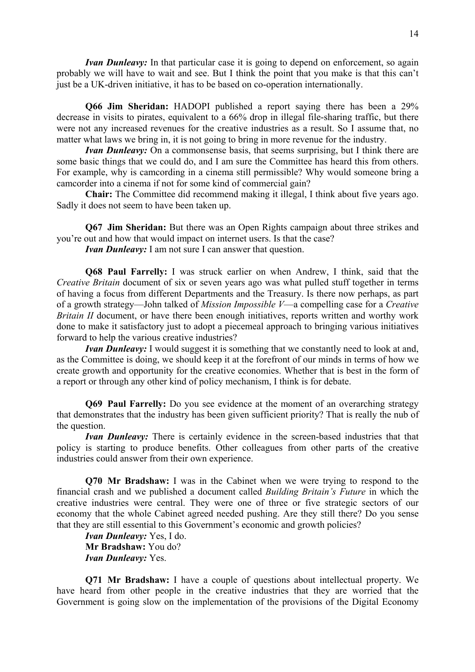*Ivan Dunleavy:* In that particular case it is going to depend on enforcement, so again probably we will have to wait and see. But I think the point that you make is that this can't just be a UK-driven initiative, it has to be based on co-operation internationally.

**Q66 Jim Sheridan:** HADOPI published a report saying there has been a 29% decrease in visits to pirates, equivalent to a 66% drop in illegal file-sharing traffic, but there were not any increased revenues for the creative industries as a result. So I assume that, no matter what laws we bring in, it is not going to bring in more revenue for the industry.

*Ivan Dunleavy:* On a commonsense basis, that seems surprising, but I think there are some basic things that we could do, and I am sure the Committee has heard this from others. For example, why is camcording in a cinema still permissible? Why would someone bring a camcorder into a cinema if not for some kind of commercial gain?

**Chair:** The Committee did recommend making it illegal, I think about five years ago. Sadly it does not seem to have been taken up.

**Q67 Jim Sheridan:** But there was an Open Rights campaign about three strikes and you're out and how that would impact on internet users. Is that the case?

*Ivan Dunleavy:* I am not sure I can answer that question.

**Q68 Paul Farrelly:** I was struck earlier on when Andrew, I think, said that the *Creative Britain* document of six or seven years ago was what pulled stuff together in terms of having a focus from different Departments and the Treasury. Is there now perhaps, as part of a growth strategy—John talked of *Mission Impossible V*—a compelling case for a *Creative Britain II* document, or have there been enough initiatives, reports written and worthy work done to make it satisfactory just to adopt a piecemeal approach to bringing various initiatives forward to help the various creative industries?

*Ivan Dunleavy:* I would suggest it is something that we constantly need to look at and, as the Committee is doing, we should keep it at the forefront of our minds in terms of how we create growth and opportunity for the creative economies. Whether that is best in the form of a report or through any other kind of policy mechanism, I think is for debate.

**Q69 Paul Farrelly:** Do you see evidence at the moment of an overarching strategy that demonstrates that the industry has been given sufficient priority? That is really the nub of the question.

*Ivan Dunleavy:* There is certainly evidence in the screen-based industries that that policy is starting to produce benefits. Other colleagues from other parts of the creative industries could answer from their own experience.

**Q70 Mr Bradshaw:** I was in the Cabinet when we were trying to respond to the financial crash and we published a document called *Building Britain's Future* in which the creative industries were central. They were one of three or five strategic sectors of our economy that the whole Cabinet agreed needed pushing. Are they still there? Do you sense that they are still essential to this Government's economic and growth policies?

*Ivan Dunleavy:* Yes, I do. **Mr Bradshaw:** You do? *Ivan Dunleavy:* Yes.

**Q71 Mr Bradshaw:** I have a couple of questions about intellectual property. We have heard from other people in the creative industries that they are worried that the Government is going slow on the implementation of the provisions of the Digital Economy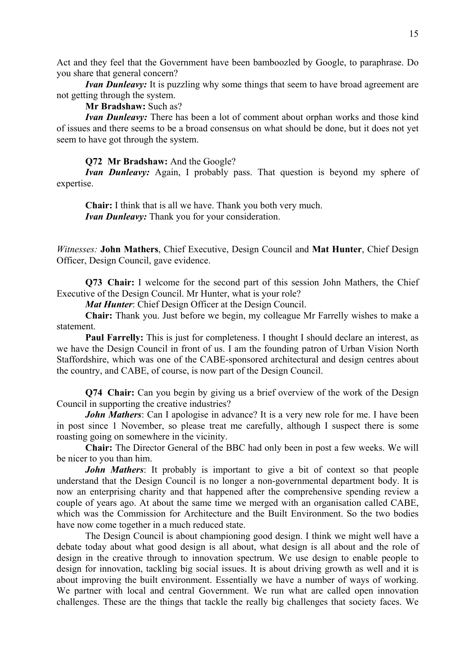Act and they feel that the Government have been bamboozled by Google, to paraphrase. Do you share that general concern?

*<i>Ivan Dunleavy:* It is puzzling why some things that seem to have broad agreement are not getting through the system.

**Mr Bradshaw:** Such as?

*Ivan Dunleavy:* There has been a lot of comment about orphan works and those kind of issues and there seems to be a broad consensus on what should be done, but it does not yet seem to have got through the system.

### **Q72 Mr Bradshaw:** And the Google?

*Ivan Dunleavy:* Again, I probably pass. That question is beyond my sphere of expertise.

**Chair:** I think that is all we have. Thank you both very much. *Ivan Dunleavy:* Thank you for your consideration.

*Witnesses:* **John Mathers**, Chief Executive, Design Council and **Mat Hunter**, Chief Design Officer, Design Council, gave evidence.

**Q73 Chair:** I welcome for the second part of this session John Mathers, the Chief Executive of the Design Council. Mr Hunter, what is your role?

*Mat Hunter*: Chief Design Officer at the Design Council.

**Chair:** Thank you. Just before we begin, my colleague Mr Farrelly wishes to make a statement.

**Paul Farrelly:** This is just for completeness. I thought I should declare an interest, as we have the Design Council in front of us. I am the founding patron of Urban Vision North Staffordshire, which was one of the CABE-sponsored architectural and design centres about the country, and CABE, of course, is now part of the Design Council.

**Q74 Chair:** Can you begin by giving us a brief overview of the work of the Design Council in supporting the creative industries?

*John Mathers*: Can I apologise in advance? It is a very new role for me. I have been in post since 1 November, so please treat me carefully, although I suspect there is some roasting going on somewhere in the vicinity.

**Chair:** The Director General of the BBC had only been in post a few weeks. We will be nicer to you than him.

*John Mathers*: It probably is important to give a bit of context so that people understand that the Design Council is no longer a non-governmental department body. It is now an enterprising charity and that happened after the comprehensive spending review a couple of years ago. At about the same time we merged with an organisation called CABE, which was the Commission for Architecture and the Built Environment. So the two bodies have now come together in a much reduced state.

The Design Council is about championing good design. I think we might well have a debate today about what good design is all about, what design is all about and the role of design in the creative through to innovation spectrum. We use design to enable people to design for innovation, tackling big social issues. It is about driving growth as well and it is about improving the built environment. Essentially we have a number of ways of working. We partner with local and central Government. We run what are called open innovation challenges. These are the things that tackle the really big challenges that society faces. We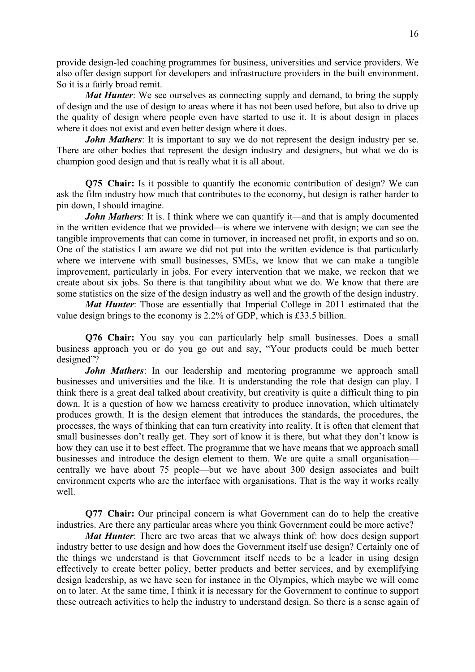provide design-led coaching programmes for business, universities and service providers. We also offer design support for developers and infrastructure providers in the built environment. So it is a fairly broad remit.

*Mat Hunter*: We see ourselves as connecting supply and demand, to bring the supply of design and the use of design to areas where it has not been used before, but also to drive up the quality of design where people even have started to use it. It is about design in places where it does not exist and even better design where it does.

*John Mathers*: It is important to say we do not represent the design industry per se. There are other bodies that represent the design industry and designers, but what we do is champion good design and that is really what it is all about.

**Q75 Chair:** Is it possible to quantify the economic contribution of design? We can ask the film industry how much that contributes to the economy, but design is rather harder to pin down, I should imagine.

*John Mathers*: It is. I think where we can quantify it—and that is amply documented in the written evidence that we provided—is where we intervene with design; we can see the tangible improvements that can come in turnover, in increased net profit, in exports and so on. One of the statistics I am aware we did not put into the written evidence is that particularly where we intervene with small businesses, SMEs, we know that we can make a tangible improvement, particularly in jobs. For every intervention that we make, we reckon that we create about six jobs. So there is that tangibility about what we do. We know that there are some statistics on the size of the design industry as well and the growth of the design industry.

*Mat Hunter*: Those are essentially that Imperial College in 2011 estimated that the value design brings to the economy is 2.2% of GDP, which is £33.5 billion.

**Q76 Chair:** You say you can particularly help small businesses. Does a small business approach you or do you go out and say, "Your products could be much better designed"?

*John Mathers*: In our leadership and mentoring programme we approach small businesses and universities and the like. It is understanding the role that design can play. I think there is a great deal talked about creativity, but creativity is quite a difficult thing to pin down. It is a question of how we harness creativity to produce innovation, which ultimately produces growth. It is the design element that introduces the standards, the procedures, the processes, the ways of thinking that can turn creativity into reality. It is often that element that small businesses don't really get. They sort of know it is there, but what they don't know is how they can use it to best effect. The programme that we have means that we approach small businesses and introduce the design element to them. We are quite a small organisation centrally we have about 75 people—but we have about 300 design associates and built environment experts who are the interface with organisations. That is the way it works really well.

**Q77 Chair:** Our principal concern is what Government can do to help the creative industries. Are there any particular areas where you think Government could be more active?

*Mat Hunter*: There are two areas that we always think of: how does design support industry better to use design and how does the Government itself use design? Certainly one of the things we understand is that Government itself needs to be a leader in using design effectively to create better policy, better products and better services, and by exemplifying design leadership, as we have seen for instance in the Olympics, which maybe we will come on to later. At the same time, I think it is necessary for the Government to continue to support these outreach activities to help the industry to understand design. So there is a sense again of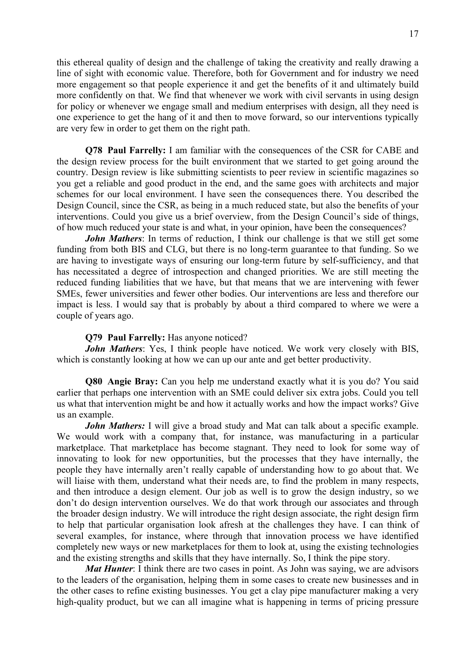this ethereal quality of design and the challenge of taking the creativity and really drawing a line of sight with economic value. Therefore, both for Government and for industry we need more engagement so that people experience it and get the benefits of it and ultimately build more confidently on that. We find that whenever we work with civil servants in using design for policy or whenever we engage small and medium enterprises with design, all they need is one experience to get the hang of it and then to move forward, so our interventions typically are very few in order to get them on the right path.

**Q78 Paul Farrelly:** I am familiar with the consequences of the CSR for CABE and the design review process for the built environment that we started to get going around the country. Design review is like submitting scientists to peer review in scientific magazines so you get a reliable and good product in the end, and the same goes with architects and major schemes for our local environment. I have seen the consequences there. You described the Design Council, since the CSR, as being in a much reduced state, but also the benefits of your interventions. Could you give us a brief overview, from the Design Council's side of things, of how much reduced your state is and what, in your opinion, have been the consequences?

*John Mathers*: In terms of reduction, I think our challenge is that we still get some funding from both BIS and CLG, but there is no long-term guarantee to that funding. So we are having to investigate ways of ensuring our long-term future by self-sufficiency, and that has necessitated a degree of introspection and changed priorities. We are still meeting the reduced funding liabilities that we have, but that means that we are intervening with fewer SMEs, fewer universities and fewer other bodies. Our interventions are less and therefore our impact is less. I would say that is probably by about a third compared to where we were a couple of years ago.

#### **Q79 Paul Farrelly:** Has anyone noticed?

*John Mathers*: Yes, I think people have noticed. We work very closely with BIS, which is constantly looking at how we can up our ante and get better productivity.

**Q80 Angie Bray:** Can you help me understand exactly what it is you do? You said earlier that perhaps one intervention with an SME could deliver six extra jobs. Could you tell us what that intervention might be and how it actually works and how the impact works? Give us an example.

*John Mathers:* I will give a broad study and Mat can talk about a specific example. We would work with a company that, for instance, was manufacturing in a particular marketplace. That marketplace has become stagnant. They need to look for some way of innovating to look for new opportunities, but the processes that they have internally, the people they have internally aren't really capable of understanding how to go about that. We will liaise with them, understand what their needs are, to find the problem in many respects, and then introduce a design element. Our job as well is to grow the design industry, so we don't do design intervention ourselves. We do that work through our associates and through the broader design industry. We will introduce the right design associate, the right design firm to help that particular organisation look afresh at the challenges they have. I can think of several examples, for instance, where through that innovation process we have identified completely new ways or new marketplaces for them to look at, using the existing technologies and the existing strengths and skills that they have internally. So, I think the pipe story.

*Mat Hunter*: I think there are two cases in point. As John was saying, we are advisors to the leaders of the organisation, helping them in some cases to create new businesses and in the other cases to refine existing businesses. You get a clay pipe manufacturer making a very high-quality product, but we can all imagine what is happening in terms of pricing pressure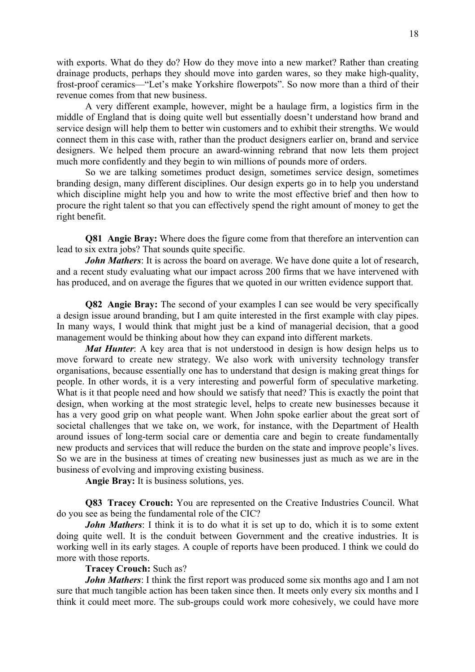with exports. What do they do? How do they move into a new market? Rather than creating drainage products, perhaps they should move into garden wares, so they make high-quality, frost-proof ceramics—"Let's make Yorkshire flowerpots". So now more than a third of their revenue comes from that new business.

 A very different example, however, might be a haulage firm, a logistics firm in the middle of England that is doing quite well but essentially doesn't understand how brand and service design will help them to better win customers and to exhibit their strengths. We would connect them in this case with, rather than the product designers earlier on, brand and service designers. We helped them procure an award-winning rebrand that now lets them project much more confidently and they begin to win millions of pounds more of orders.

 So we are talking sometimes product design, sometimes service design, sometimes branding design, many different disciplines. Our design experts go in to help you understand which discipline might help you and how to write the most effective brief and then how to procure the right talent so that you can effectively spend the right amount of money to get the right benefit.

**Q81 Angie Bray:** Where does the figure come from that therefore an intervention can lead to six extra jobs? That sounds quite specific.

*John Mathers*: It is across the board on average. We have done quite a lot of research, and a recent study evaluating what our impact across 200 firms that we have intervened with has produced, and on average the figures that we quoted in our written evidence support that.

**Q82 Angie Bray:** The second of your examples I can see would be very specifically a design issue around branding, but I am quite interested in the first example with clay pipes. In many ways, I would think that might just be a kind of managerial decision, that a good management would be thinking about how they can expand into different markets.

*Mat Hunter*: A key area that is not understood in design is how design helps us to move forward to create new strategy. We also work with university technology transfer organisations, because essentially one has to understand that design is making great things for people. In other words, it is a very interesting and powerful form of speculative marketing. What is it that people need and how should we satisfy that need? This is exactly the point that design, when working at the most strategic level, helps to create new businesses because it has a very good grip on what people want. When John spoke earlier about the great sort of societal challenges that we take on, we work, for instance, with the Department of Health around issues of long-term social care or dementia care and begin to create fundamentally new products and services that will reduce the burden on the state and improve people's lives. So we are in the business at times of creating new businesses just as much as we are in the business of evolving and improving existing business.

**Angie Bray:** It is business solutions, yes.

**Q83 Tracey Crouch:** You are represented on the Creative Industries Council. What do you see as being the fundamental role of the CIC?

*John Mathers*: I think it is to do what it is set up to do, which it is to some extent doing quite well. It is the conduit between Government and the creative industries. It is working well in its early stages. A couple of reports have been produced. I think we could do more with those reports.

### **Tracey Crouch:** Such as?

*John Mathers*: I think the first report was produced some six months ago and I am not sure that much tangible action has been taken since then. It meets only every six months and I think it could meet more. The sub-groups could work more cohesively, we could have more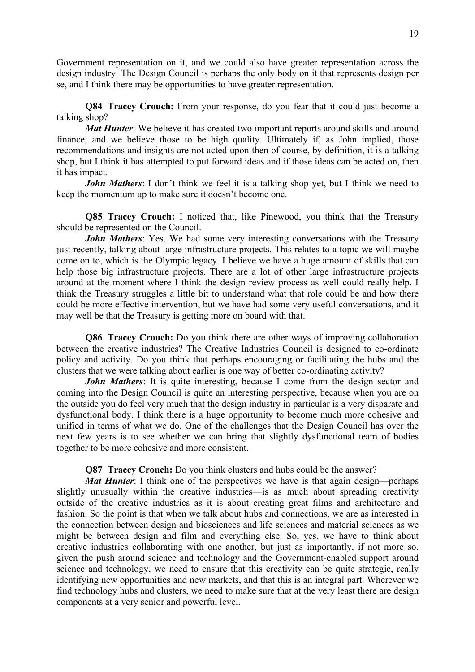Government representation on it, and we could also have greater representation across the design industry. The Design Council is perhaps the only body on it that represents design per se, and I think there may be opportunities to have greater representation.

**Q84 Tracey Crouch:** From your response, do you fear that it could just become a talking shop?

*Mat Hunter*: We believe it has created two important reports around skills and around finance, and we believe those to be high quality. Ultimately if, as John implied, those recommendations and insights are not acted upon then of course, by definition, it is a talking shop, but I think it has attempted to put forward ideas and if those ideas can be acted on, then it has impact.

*John Mathers*: I don't think we feel it is a talking shop yet, but I think we need to keep the momentum up to make sure it doesn't become one.

**Q85 Tracey Crouch:** I noticed that, like Pinewood, you think that the Treasury should be represented on the Council.

*John Mathers*: Yes. We had some very interesting conversations with the Treasury just recently, talking about large infrastructure projects. This relates to a topic we will maybe come on to, which is the Olympic legacy. I believe we have a huge amount of skills that can help those big infrastructure projects. There are a lot of other large infrastructure projects around at the moment where I think the design review process as well could really help. I think the Treasury struggles a little bit to understand what that role could be and how there could be more effective intervention, but we have had some very useful conversations, and it may well be that the Treasury is getting more on board with that.

**Q86 Tracey Crouch:** Do you think there are other ways of improving collaboration between the creative industries? The Creative Industries Council is designed to co-ordinate policy and activity. Do you think that perhaps encouraging or facilitating the hubs and the clusters that we were talking about earlier is one way of better co-ordinating activity?

*John Mathers*: It is quite interesting, because I come from the design sector and coming into the Design Council is quite an interesting perspective, because when you are on the outside you do feel very much that the design industry in particular is a very disparate and dysfunctional body. I think there is a huge opportunity to become much more cohesive and unified in terms of what we do. One of the challenges that the Design Council has over the next few years is to see whether we can bring that slightly dysfunctional team of bodies together to be more cohesive and more consistent.

**Q87 Tracey Crouch:** Do you think clusters and hubs could be the answer?

*Mat Hunter*: I think one of the perspectives we have is that again design—perhaps slightly unusually within the creative industries—is as much about spreading creativity outside of the creative industries as it is about creating great films and architecture and fashion. So the point is that when we talk about hubs and connections, we are as interested in the connection between design and biosciences and life sciences and material sciences as we might be between design and film and everything else. So, yes, we have to think about creative industries collaborating with one another, but just as importantly, if not more so, given the push around science and technology and the Government-enabled support around science and technology, we need to ensure that this creativity can be quite strategic, really identifying new opportunities and new markets, and that this is an integral part. Wherever we find technology hubs and clusters, we need to make sure that at the very least there are design components at a very senior and powerful level.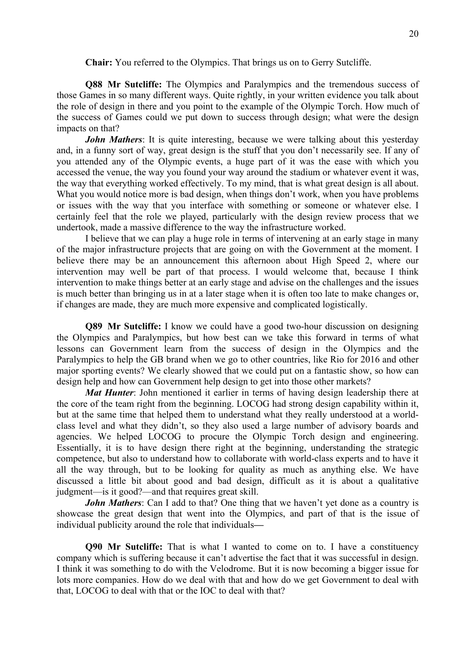#### **Chair:** You referred to the Olympics. That brings us on to Gerry Sutcliffe.

**Q88 Mr Sutcliffe:** The Olympics and Paralympics and the tremendous success of those Games in so many different ways. Quite rightly, in your written evidence you talk about the role of design in there and you point to the example of the Olympic Torch. How much of the success of Games could we put down to success through design; what were the design impacts on that?

*John Mathers*: It is quite interesting, because we were talking about this yesterday and, in a funny sort of way, great design is the stuff that you don't necessarily see. If any of you attended any of the Olympic events, a huge part of it was the ease with which you accessed the venue, the way you found your way around the stadium or whatever event it was, the way that everything worked effectively. To my mind, that is what great design is all about. What you would notice more is bad design, when things don't work, when you have problems or issues with the way that you interface with something or someone or whatever else. I certainly feel that the role we played, particularly with the design review process that we undertook, made a massive difference to the way the infrastructure worked.

I believe that we can play a huge role in terms of intervening at an early stage in many of the major infrastructure projects that are going on with the Government at the moment. I believe there may be an announcement this afternoon about High Speed 2, where our intervention may well be part of that process. I would welcome that, because I think intervention to make things better at an early stage and advise on the challenges and the issues is much better than bringing us in at a later stage when it is often too late to make changes or, if changes are made, they are much more expensive and complicated logistically.

**Q89 Mr Sutcliffe:** I know we could have a good two-hour discussion on designing the Olympics and Paralympics, but how best can we take this forward in terms of what lessons can Government learn from the success of design in the Olympics and the Paralympics to help the GB brand when we go to other countries, like Rio for 2016 and other major sporting events? We clearly showed that we could put on a fantastic show, so how can design help and how can Government help design to get into those other markets?

*Mat Hunter*: John mentioned it earlier in terms of having design leadership there at the core of the team right from the beginning. LOCOG had strong design capability within it, but at the same time that helped them to understand what they really understood at a worldclass level and what they didn't, so they also used a large number of advisory boards and agencies. We helped LOCOG to procure the Olympic Torch design and engineering. Essentially, it is to have design there right at the beginning, understanding the strategic competence, but also to understand how to collaborate with world-class experts and to have it all the way through, but to be looking for quality as much as anything else. We have discussed a little bit about good and bad design, difficult as it is about a qualitative judgment—is it good?—and that requires great skill.

*John Mathers*: Can I add to that? One thing that we haven't vet done as a country is showcase the great design that went into the Olympics, and part of that is the issue of individual publicity around the role that individuals**—** 

**Q90 Mr Sutcliffe:** That is what I wanted to come on to. I have a constituency company which is suffering because it can't advertise the fact that it was successful in design. I think it was something to do with the Velodrome. But it is now becoming a bigger issue for lots more companies. How do we deal with that and how do we get Government to deal with that, LOCOG to deal with that or the IOC to deal with that?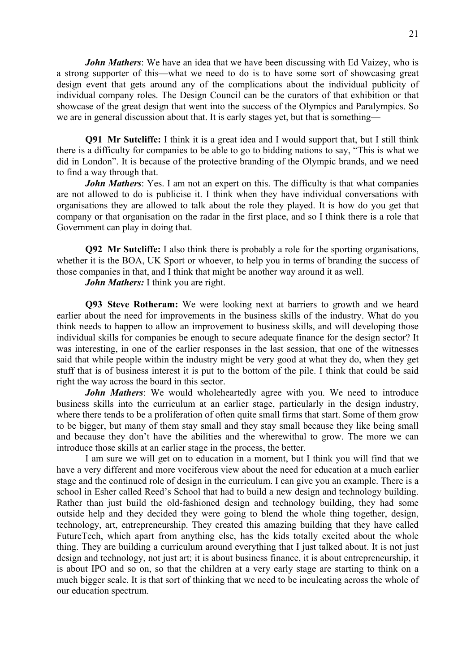*John Mathers*: We have an idea that we have been discussing with Ed Vaizey, who is a strong supporter of this—what we need to do is to have some sort of showcasing great design event that gets around any of the complications about the individual publicity of individual company roles. The Design Council can be the curators of that exhibition or that showcase of the great design that went into the success of the Olympics and Paralympics. So we are in general discussion about that. It is early stages yet, but that is something**—** 

**Q91 Mr Sutcliffe:** I think it is a great idea and I would support that, but I still think there is a difficulty for companies to be able to go to bidding nations to say, "This is what we did in London". It is because of the protective branding of the Olympic brands, and we need to find a way through that.

*John Mathers*: Yes. I am not an expert on this. The difficulty is that what companies are not allowed to do is publicise it. I think when they have individual conversations with organisations they are allowed to talk about the role they played. It is how do you get that company or that organisation on the radar in the first place, and so I think there is a role that Government can play in doing that.

**Q92 Mr Sutcliffe:** I also think there is probably a role for the sporting organisations, whether it is the BOA, UK Sport or whoever, to help you in terms of branding the success of those companies in that, and I think that might be another way around it as well.

*John Mathers:* I think you are right.

**Q93 Steve Rotheram:** We were looking next at barriers to growth and we heard earlier about the need for improvements in the business skills of the industry. What do you think needs to happen to allow an improvement to business skills, and will developing those individual skills for companies be enough to secure adequate finance for the design sector? It was interesting, in one of the earlier responses in the last session, that one of the witnesses said that while people within the industry might be very good at what they do, when they get stuff that is of business interest it is put to the bottom of the pile. I think that could be said right the way across the board in this sector.

*John Mathers*: We would wholeheartedly agree with you. We need to introduce business skills into the curriculum at an earlier stage, particularly in the design industry, where there tends to be a proliferation of often quite small firms that start. Some of them grow to be bigger, but many of them stay small and they stay small because they like being small and because they don't have the abilities and the wherewithal to grow. The more we can introduce those skills at an earlier stage in the process, the better.

I am sure we will get on to education in a moment, but I think you will find that we have a very different and more vociferous view about the need for education at a much earlier stage and the continued role of design in the curriculum. I can give you an example. There is a school in Esher called Reed's School that had to build a new design and technology building. Rather than just build the old-fashioned design and technology building, they had some outside help and they decided they were going to blend the whole thing together, design, technology, art, entrepreneurship. They created this amazing building that they have called FutureTech, which apart from anything else, has the kids totally excited about the whole thing. They are building a curriculum around everything that I just talked about. It is not just design and technology, not just art; it is about business finance, it is about entrepreneurship, it is about IPO and so on, so that the children at a very early stage are starting to think on a much bigger scale. It is that sort of thinking that we need to be inculcating across the whole of our education spectrum.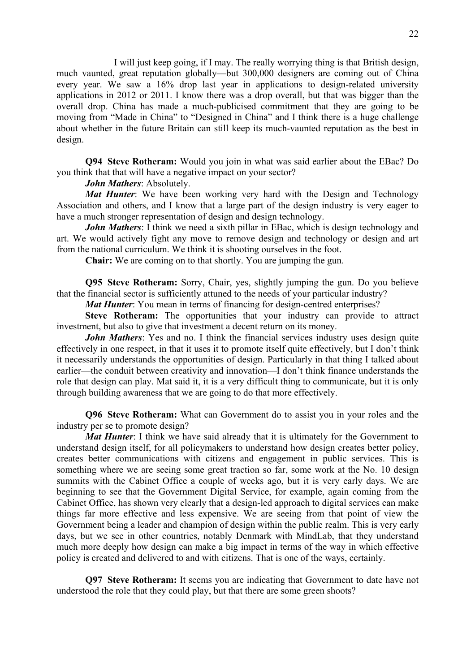I will just keep going, if I may. The really worrying thing is that British design, much vaunted, great reputation globally—but 300,000 designers are coming out of China every year. We saw a 16% drop last year in applications to design-related university applications in 2012 or 2011. I know there was a drop overall, but that was bigger than the overall drop. China has made a much-publicised commitment that they are going to be moving from "Made in China" to "Designed in China" and I think there is a huge challenge about whether in the future Britain can still keep its much-vaunted reputation as the best in design.

**Q94 Steve Rotheram:** Would you join in what was said earlier about the EBac? Do you think that that will have a negative impact on your sector?

#### *John Mathers*: Absolutely.

*Mat Hunter*: We have been working very hard with the Design and Technology Association and others, and I know that a large part of the design industry is very eager to have a much stronger representation of design and design technology.

*John Mathers*: I think we need a sixth pillar in EBac, which is design technology and art. We would actively fight any move to remove design and technology or design and art from the national curriculum. We think it is shooting ourselves in the foot.

**Chair:** We are coming on to that shortly. You are jumping the gun.

**Q95 Steve Rotheram:** Sorry, Chair, yes, slightly jumping the gun. Do you believe that the financial sector is sufficiently attuned to the needs of your particular industry?

*Mat Hunter*: You mean in terms of financing for design-centred enterprises?

**Steve Rotheram:** The opportunities that your industry can provide to attract investment, but also to give that investment a decent return on its money.

*John Mathers*: Yes and no. I think the financial services industry uses design quite effectively in one respect, in that it uses it to promote itself quite effectively, but I don't think it necessarily understands the opportunities of design. Particularly in that thing I talked about earlier—the conduit between creativity and innovation—I don't think finance understands the role that design can play. Mat said it, it is a very difficult thing to communicate, but it is only through building awareness that we are going to do that more effectively.

**Q96 Steve Rotheram:** What can Government do to assist you in your roles and the industry per se to promote design?

*Mat Hunter*: I think we have said already that it is ultimately for the Government to understand design itself, for all policymakers to understand how design creates better policy, creates better communications with citizens and engagement in public services. This is something where we are seeing some great traction so far, some work at the No. 10 design summits with the Cabinet Office a couple of weeks ago, but it is very early days. We are beginning to see that the Government Digital Service, for example, again coming from the Cabinet Office, has shown very clearly that a design-led approach to digital services can make things far more effective and less expensive. We are seeing from that point of view the Government being a leader and champion of design within the public realm. This is very early days, but we see in other countries, notably Denmark with MindLab, that they understand much more deeply how design can make a big impact in terms of the way in which effective policy is created and delivered to and with citizens. That is one of the ways, certainly.

**Q97 Steve Rotheram:** It seems you are indicating that Government to date have not understood the role that they could play, but that there are some green shoots?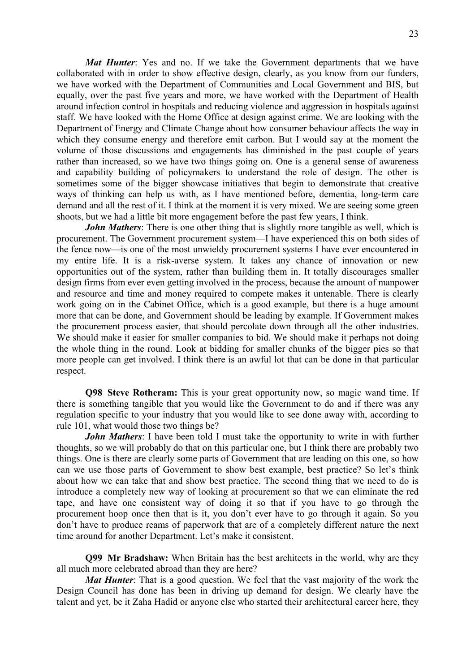*Mat Hunter*: Yes and no. If we take the Government departments that we have collaborated with in order to show effective design, clearly, as you know from our funders, we have worked with the Department of Communities and Local Government and BIS, but equally, over the past five years and more, we have worked with the Department of Health around infection control in hospitals and reducing violence and aggression in hospitals against staff. We have looked with the Home Office at design against crime. We are looking with the Department of Energy and Climate Change about how consumer behaviour affects the way in which they consume energy and therefore emit carbon. But I would say at the moment the volume of those discussions and engagements has diminished in the past couple of years rather than increased, so we have two things going on. One is a general sense of awareness and capability building of policymakers to understand the role of design. The other is sometimes some of the bigger showcase initiatives that begin to demonstrate that creative ways of thinking can help us with, as I have mentioned before, dementia, long-term care demand and all the rest of it. I think at the moment it is very mixed. We are seeing some green shoots, but we had a little bit more engagement before the past few years, I think.

*John Mathers*: There is one other thing that is slightly more tangible as well, which is procurement. The Government procurement system—I have experienced this on both sides of the fence now—is one of the most unwieldy procurement systems I have ever encountered in my entire life. It is a risk-averse system. It takes any chance of innovation or new opportunities out of the system, rather than building them in. It totally discourages smaller design firms from ever even getting involved in the process, because the amount of manpower and resource and time and money required to compete makes it untenable. There is clearly work going on in the Cabinet Office, which is a good example, but there is a huge amount more that can be done, and Government should be leading by example. If Government makes the procurement process easier, that should percolate down through all the other industries. We should make it easier for smaller companies to bid. We should make it perhaps not doing the whole thing in the round. Look at bidding for smaller chunks of the bigger pies so that more people can get involved. I think there is an awful lot that can be done in that particular respect.

**Q98 Steve Rotheram:** This is your great opportunity now, so magic wand time. If there is something tangible that you would like the Government to do and if there was any regulation specific to your industry that you would like to see done away with, according to rule 101, what would those two things be?

*John Mathers*: I have been told I must take the opportunity to write in with further thoughts, so we will probably do that on this particular one, but I think there are probably two things. One is there are clearly some parts of Government that are leading on this one, so how can we use those parts of Government to show best example, best practice? So let's think about how we can take that and show best practice. The second thing that we need to do is introduce a completely new way of looking at procurement so that we can eliminate the red tape, and have one consistent way of doing it so that if you have to go through the procurement hoop once then that is it, you don't ever have to go through it again. So you don't have to produce reams of paperwork that are of a completely different nature the next time around for another Department. Let's make it consistent.

**Q99 Mr Bradshaw:** When Britain has the best architects in the world, why are they all much more celebrated abroad than they are here?

*Mat Hunter*: That is a good question. We feel that the vast majority of the work the Design Council has done has been in driving up demand for design. We clearly have the talent and yet, be it Zaha Hadid or anyone else who started their architectural career here, they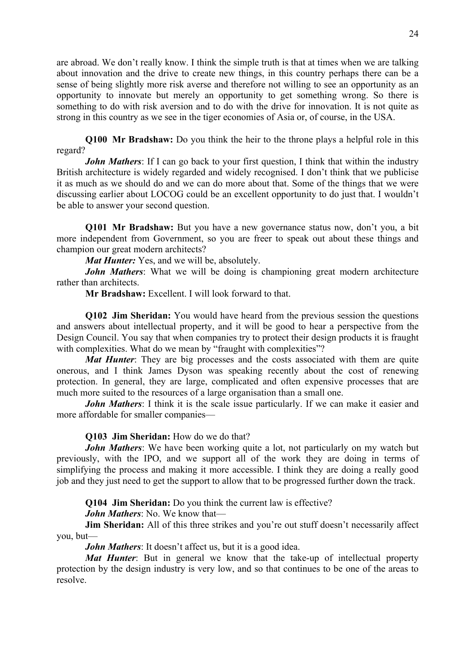are abroad. We don't really know. I think the simple truth is that at times when we are talking about innovation and the drive to create new things, in this country perhaps there can be a sense of being slightly more risk averse and therefore not willing to see an opportunity as an opportunity to innovate but merely an opportunity to get something wrong. So there is something to do with risk aversion and to do with the drive for innovation. It is not quite as strong in this country as we see in the tiger economies of Asia or, of course, in the USA.

**Q100 Mr Bradshaw:** Do you think the heir to the throne plays a helpful role in this regard?

*John Mathers*: If I can go back to your first question, I think that within the industry British architecture is widely regarded and widely recognised. I don't think that we publicise it as much as we should do and we can do more about that. Some of the things that we were discussing earlier about LOCOG could be an excellent opportunity to do just that. I wouldn't be able to answer your second question.

**Q101 Mr Bradshaw:** But you have a new governance status now, don't you, a bit more independent from Government, so you are freer to speak out about these things and champion our great modern architects?

*Mat Hunter:* Yes, and we will be, absolutely.

*John Mathers*: What we will be doing is championing great modern architecture rather than architects.

**Mr Bradshaw:** Excellent. I will look forward to that.

**Q102 Jim Sheridan:** You would have heard from the previous session the questions and answers about intellectual property, and it will be good to hear a perspective from the Design Council. You say that when companies try to protect their design products it is fraught with complexities. What do we mean by "fraught with complexities"?

*Mat Hunter*: They are big processes and the costs associated with them are quite onerous, and I think James Dyson was speaking recently about the cost of renewing protection. In general, they are large, complicated and often expensive processes that are much more suited to the resources of a large organisation than a small one.

*John Mathers*: I think it is the scale issue particularly. If we can make it easier and more affordable for smaller companies—

**Q103 Jim Sheridan:** How do we do that?

*John Mathers*: We have been working quite a lot, not particularly on my watch but previously, with the IPO, and we support all of the work they are doing in terms of simplifying the process and making it more accessible. I think they are doing a really good job and they just need to get the support to allow that to be progressed further down the track.

**Q104 Jim Sheridan:** Do you think the current law is effective?

*John Mathers*: No. We know that—

**Jim Sheridan:** All of this three strikes and you're out stuff doesn't necessarily affect you, but—

*John Mathers*: It doesn't affect us, but it is a good idea.

*Mat Hunter*: But in general we know that the take-up of intellectual property protection by the design industry is very low, and so that continues to be one of the areas to resolve.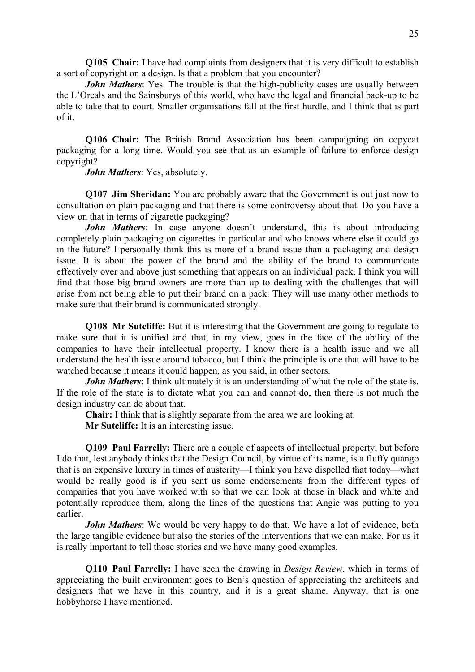**Q105 Chair:** I have had complaints from designers that it is very difficult to establish a sort of copyright on a design. Is that a problem that you encounter?

*John Mathers*: Yes. The trouble is that the high-publicity cases are usually between the L'Oreals and the Sainsburys of this world, who have the legal and financial back-up to be able to take that to court. Smaller organisations fall at the first hurdle, and I think that is part of it.

**Q106 Chair:** The British Brand Association has been campaigning on copycat packaging for a long time. Would you see that as an example of failure to enforce design copyright?

*John Mathers*: Yes, absolutely.

**Q107 Jim Sheridan:** You are probably aware that the Government is out just now to consultation on plain packaging and that there is some controversy about that. Do you have a view on that in terms of cigarette packaging?

*John Mathers*: In case anyone doesn't understand, this is about introducing completely plain packaging on cigarettes in particular and who knows where else it could go in the future? I personally think this is more of a brand issue than a packaging and design issue. It is about the power of the brand and the ability of the brand to communicate effectively over and above just something that appears on an individual pack. I think you will find that those big brand owners are more than up to dealing with the challenges that will arise from not being able to put their brand on a pack. They will use many other methods to make sure that their brand is communicated strongly.

**Q108 Mr Sutcliffe:** But it is interesting that the Government are going to regulate to make sure that it is unified and that, in my view, goes in the face of the ability of the companies to have their intellectual property. I know there is a health issue and we all understand the health issue around tobacco, but I think the principle is one that will have to be watched because it means it could happen, as you said, in other sectors.

*John Mathers*: I think ultimately it is an understanding of what the role of the state is. If the role of the state is to dictate what you can and cannot do, then there is not much the design industry can do about that.

**Chair:** I think that is slightly separate from the area we are looking at.

**Mr Sutcliffe:** It is an interesting issue.

**Q109 Paul Farrelly:** There are a couple of aspects of intellectual property, but before I do that, lest anybody thinks that the Design Council, by virtue of its name, is a fluffy quango that is an expensive luxury in times of austerity—I think you have dispelled that today—what would be really good is if you sent us some endorsements from the different types of companies that you have worked with so that we can look at those in black and white and potentially reproduce them, along the lines of the questions that Angie was putting to you earlier.

*John Mathers*: We would be very happy to do that. We have a lot of evidence, both the large tangible evidence but also the stories of the interventions that we can make. For us it is really important to tell those stories and we have many good examples.

**Q110 Paul Farrelly:** I have seen the drawing in *Design Review*, which in terms of appreciating the built environment goes to Ben's question of appreciating the architects and designers that we have in this country, and it is a great shame. Anyway, that is one hobbyhorse I have mentioned.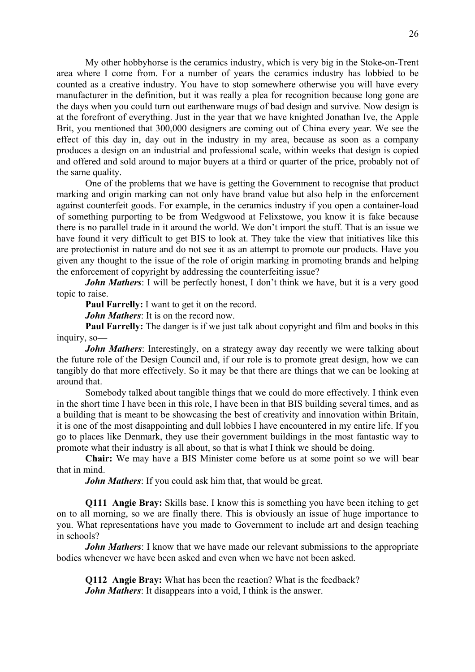My other hobbyhorse is the ceramics industry, which is very big in the Stoke-on-Trent area where I come from. For a number of years the ceramics industry has lobbied to be counted as a creative industry. You have to stop somewhere otherwise you will have every manufacturer in the definition, but it was really a plea for recognition because long gone are the days when you could turn out earthenware mugs of bad design and survive. Now design is at the forefront of everything. Just in the year that we have knighted Jonathan Ive, the Apple Brit, you mentioned that 300,000 designers are coming out of China every year. We see the effect of this day in, day out in the industry in my area, because as soon as a company produces a design on an industrial and professional scale, within weeks that design is copied and offered and sold around to major buyers at a third or quarter of the price, probably not of the same quality.

 One of the problems that we have is getting the Government to recognise that product marking and origin marking can not only have brand value but also help in the enforcement against counterfeit goods. For example, in the ceramics industry if you open a container-load of something purporting to be from Wedgwood at Felixstowe, you know it is fake because there is no parallel trade in it around the world. We don't import the stuff. That is an issue we have found it very difficult to get BIS to look at. They take the view that initiatives like this are protectionist in nature and do not see it as an attempt to promote our products. Have you given any thought to the issue of the role of origin marking in promoting brands and helping the enforcement of copyright by addressing the counterfeiting issue?

*John Mathers*: I will be perfectly honest, I don't think we have, but it is a very good topic to raise.

 **Paul Farrelly:** I want to get it on the record.

*John Mathers*: It is on the record now.

**Paul Farrelly:** The danger is if we just talk about copyright and film and books in this inquiry, so**—** 

*John Mathers*: Interestingly, on a strategy away day recently we were talking about the future role of the Design Council and, if our role is to promote great design, how we can tangibly do that more effectively. So it may be that there are things that we can be looking at around that.

 Somebody talked about tangible things that we could do more effectively. I think even in the short time I have been in this role, I have been in that BIS building several times, and as a building that is meant to be showcasing the best of creativity and innovation within Britain, it is one of the most disappointing and dull lobbies I have encountered in my entire life. If you go to places like Denmark, they use their government buildings in the most fantastic way to promote what their industry is all about, so that is what I think we should be doing.

**Chair:** We may have a BIS Minister come before us at some point so we will bear that in mind.

*John Mathers*: If you could ask him that, that would be great.

**Q111 Angie Bray:** Skills base. I know this is something you have been itching to get on to all morning, so we are finally there. This is obviously an issue of huge importance to you. What representations have you made to Government to include art and design teaching in schools?

*John Mathers*: I know that we have made our relevant submissions to the appropriate bodies whenever we have been asked and even when we have not been asked.

**Q112 Angie Bray:** What has been the reaction? What is the feedback? *John Mathers*: It disappears into a void, I think is the answer.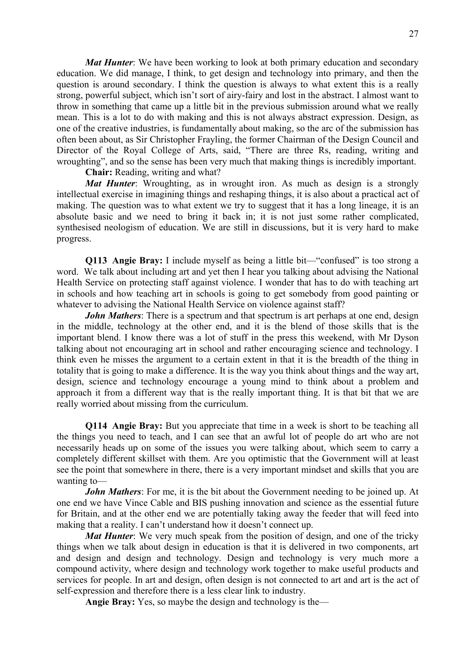*Mat Hunter*: We have been working to look at both primary education and secondary education. We did manage, I think, to get design and technology into primary, and then the question is around secondary. I think the question is always to what extent this is a really strong, powerful subject, which isn't sort of airy-fairy and lost in the abstract. I almost want to throw in something that came up a little bit in the previous submission around what we really mean. This is a lot to do with making and this is not always abstract expression. Design, as one of the creative industries, is fundamentally about making, so the arc of the submission has often been about, as Sir Christopher Frayling, the former Chairman of the Design Council and Director of the Royal College of Arts, said, "There are three Rs, reading, writing and wroughting", and so the sense has been very much that making things is incredibly important.

**Chair:** Reading, writing and what?

*Mat Hunter*: Wroughting, as in wrought iron. As much as design is a strongly intellectual exercise in imagining things and reshaping things, it is also about a practical act of making. The question was to what extent we try to suggest that it has a long lineage, it is an absolute basic and we need to bring it back in; it is not just some rather complicated, synthesised neologism of education. We are still in discussions, but it is very hard to make progress.

**Q113 Angie Bray:** I include myself as being a little bit—"confused" is too strong a word. We talk about including art and yet then I hear you talking about advising the National Health Service on protecting staff against violence. I wonder that has to do with teaching art in schools and how teaching art in schools is going to get somebody from good painting or whatever to advising the National Health Service on violence against staff?

*John Mathers*: There is a spectrum and that spectrum is art perhaps at one end, design in the middle, technology at the other end, and it is the blend of those skills that is the important blend. I know there was a lot of stuff in the press this weekend, with Mr Dyson talking about not encouraging art in school and rather encouraging science and technology. I think even he misses the argument to a certain extent in that it is the breadth of the thing in totality that is going to make a difference. It is the way you think about things and the way art, design, science and technology encourage a young mind to think about a problem and approach it from a different way that is the really important thing. It is that bit that we are really worried about missing from the curriculum.

**Q114 Angie Bray:** But you appreciate that time in a week is short to be teaching all the things you need to teach, and I can see that an awful lot of people do art who are not necessarily heads up on some of the issues you were talking about, which seem to carry a completely different skillset with them. Are you optimistic that the Government will at least see the point that somewhere in there, there is a very important mindset and skills that you are wanting to—

*John Mathers*: For me, it is the bit about the Government needing to be joined up. At one end we have Vince Cable and BIS pushing innovation and science as the essential future for Britain, and at the other end we are potentially taking away the feeder that will feed into making that a reality. I can't understand how it doesn't connect up.

*Mat Hunter*: We very much speak from the position of design, and one of the tricky things when we talk about design in education is that it is delivered in two components, art and design and design and technology. Design and technology is very much more a compound activity, where design and technology work together to make useful products and services for people. In art and design, often design is not connected to art and art is the act of self-expression and therefore there is a less clear link to industry.

**Angie Bray:** Yes, so maybe the design and technology is the—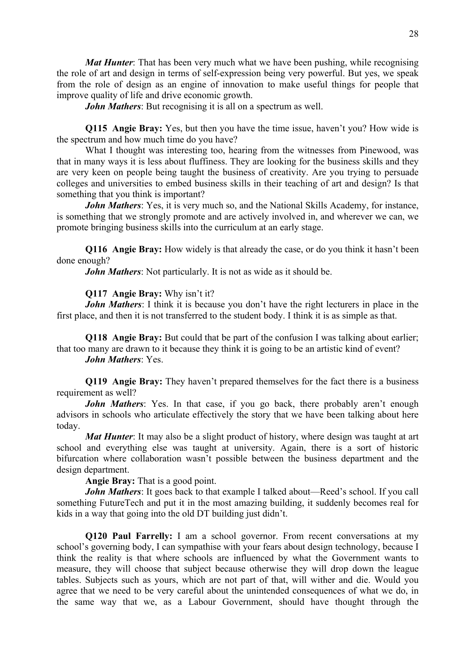*Mat Hunter*: That has been very much what we have been pushing, while recognising the role of art and design in terms of self-expression being very powerful. But yes, we speak from the role of design as an engine of innovation to make useful things for people that improve quality of life and drive economic growth.

*John Mathers*: But recognising it is all on a spectrum as well.

**Q115 Angie Bray:** Yes, but then you have the time issue, haven't you? How wide is the spectrum and how much time do you have?

 What I thought was interesting too, hearing from the witnesses from Pinewood, was that in many ways it is less about fluffiness. They are looking for the business skills and they are very keen on people being taught the business of creativity. Are you trying to persuade colleges and universities to embed business skills in their teaching of art and design? Is that something that you think is important?

*John Mathers*: Yes, it is very much so, and the National Skills Academy, for instance, is something that we strongly promote and are actively involved in, and wherever we can, we promote bringing business skills into the curriculum at an early stage.

**Q116 Angie Bray:** How widely is that already the case, or do you think it hasn't been done enough?

*John Mathers*: Not particularly. It is not as wide as it should be.

#### **Q117 Angie Bray:** Why isn't it?

*John Mathers*: I think it is because you don't have the right lecturers in place in the first place, and then it is not transferred to the student body. I think it is as simple as that.

**Q118 Angie Bray:** But could that be part of the confusion I was talking about earlier; that too many are drawn to it because they think it is going to be an artistic kind of event? *John Mathers*: Yes.

**Q119 Angie Bray:** They haven't prepared themselves for the fact there is a business requirement as well?

*John Mathers*: Yes. In that case, if you go back, there probably aren't enough advisors in schools who articulate effectively the story that we have been talking about here today.

*Mat Hunter*: It may also be a slight product of history, where design was taught at art school and everything else was taught at university. Again, there is a sort of historic bifurcation where collaboration wasn't possible between the business department and the design department.

**Angie Bray:** That is a good point.

*John Mathers*: It goes back to that example I talked about—Reed's school. If you call something FutureTech and put it in the most amazing building, it suddenly becomes real for kids in a way that going into the old DT building just didn't.

**Q120 Paul Farrelly:** I am a school governor. From recent conversations at my school's governing body, I can sympathise with your fears about design technology, because I think the reality is that where schools are influenced by what the Government wants to measure, they will choose that subject because otherwise they will drop down the league tables. Subjects such as yours, which are not part of that, will wither and die. Would you agree that we need to be very careful about the unintended consequences of what we do, in the same way that we, as a Labour Government, should have thought through the